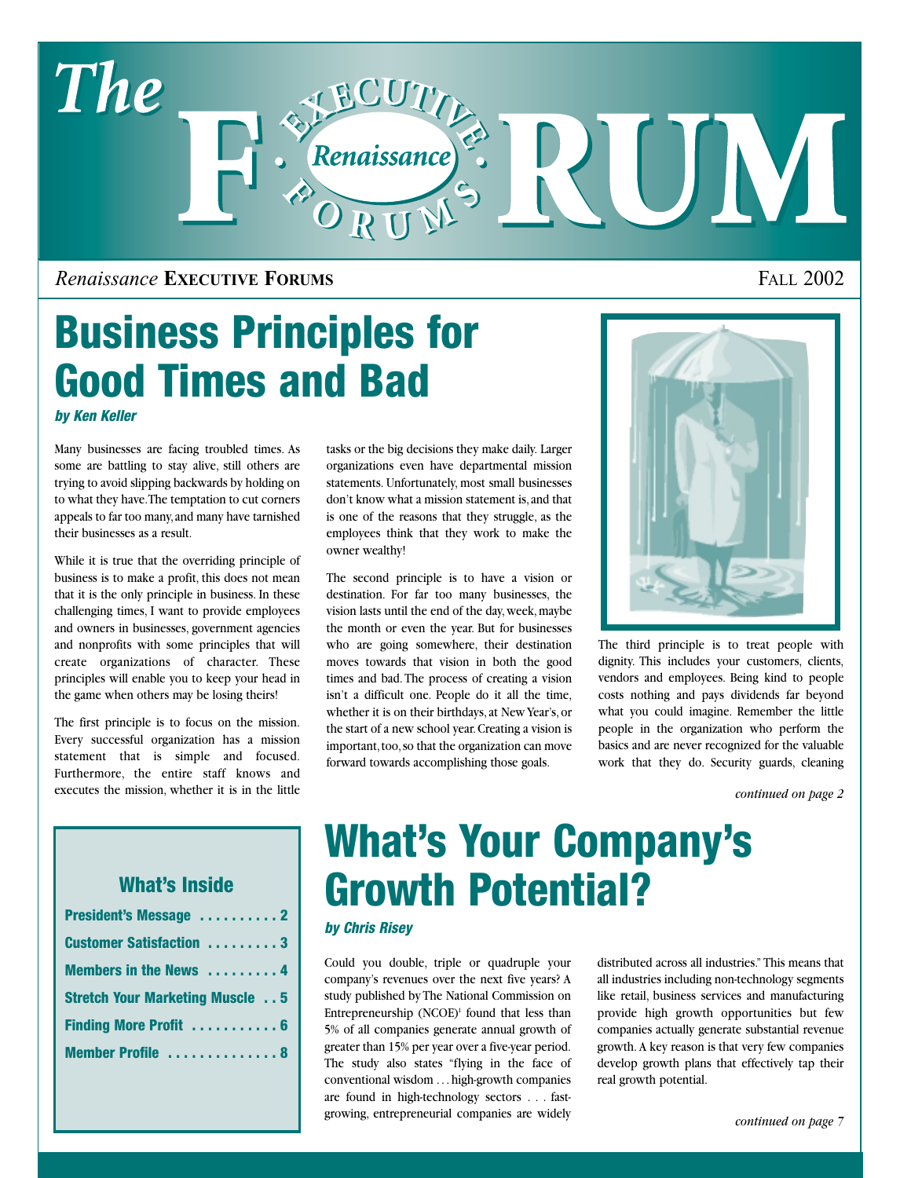

## *Renaissance* **EXECUTIVE FORUMS** FALL 2002

# **Business Principles for Good Times and Bad**

*by Ken Keller*

Many businesses are facing troubled times. As some are battling to stay alive, still others are trying to avoid slipping backwards by holding on to what they have.The temptation to cut corners appeals to far too many,and many have tarnished their businesses as a result.

While it is true that the overriding principle of business is to make a profit, this does not mean that it is the only principle in business. In these challenging times, I want to provide employees and owners in businesses, government agencies and nonprofits with some principles that will create organizations of character. These principles will enable you to keep your head in the game when others may be losing theirs!

The first principle is to focus on the mission. Every successful organization has a mission statement that is simple and focused. Furthermore, the entire staff knows and executes the mission, whether it is in the little tasks or the big decisions they make daily. Larger organizations even have departmental mission statements. Unfortunately, most small businesses don't know what a mission statement is,and that is one of the reasons that they struggle, as the employees think that they work to make the owner wealthy!

The second principle is to have a vision or destination. For far too many businesses, the vision lasts until the end of the day, week, maybe the month or even the year. But for businesses who are going somewhere, their destination moves towards that vision in both the good times and bad. The process of creating a vision isn't a difficult one. People do it all the time, whether it is on their birthdays, at New Year's, or the start of a new school year.Creating a vision is important, too, so that the organization can move forward towards accomplishing those goals.



The third principle is to treat people with dignity. This includes your customers, clients, vendors and employees. Being kind to people costs nothing and pays dividends far beyond what you could imagine. Remember the little people in the organization who perform the basics and are never recognized for the valuable work that they do. Security guards, cleaning

*continued on page 2*

## **What's Inside**

| President's Message  2                  |
|-----------------------------------------|
| <b>Customer Satisfaction  3</b>         |
| Members in the News  4                  |
| <b>Stretch Your Marketing Muscle  5</b> |
| Finding More Profit  6                  |
| Member Profile  8                       |

# **What's Your Company's Growth Potential?**

#### *by Chris Risey*

Could you double, triple or quadruple your company's revenues over the next five years? A study published by The National Commission on Entrepreneurship  $(NCOE)^1$  found that less than 5% of all companies generate annual growth of greater than 15% per year over a five-year period. The study also states "flying in the face of conventional wisdom . . . high-growth companies are found in high-technology sectors . . . fastgrowing, entrepreneurial companies are widely

distributed across all industries." This means that all industries including non-technology segments like retail, business services and manufacturing provide high growth opportunities but few companies actually generate substantial revenue growth. A key reason is that very few companies develop growth plans that effectively tap their real growth potential.